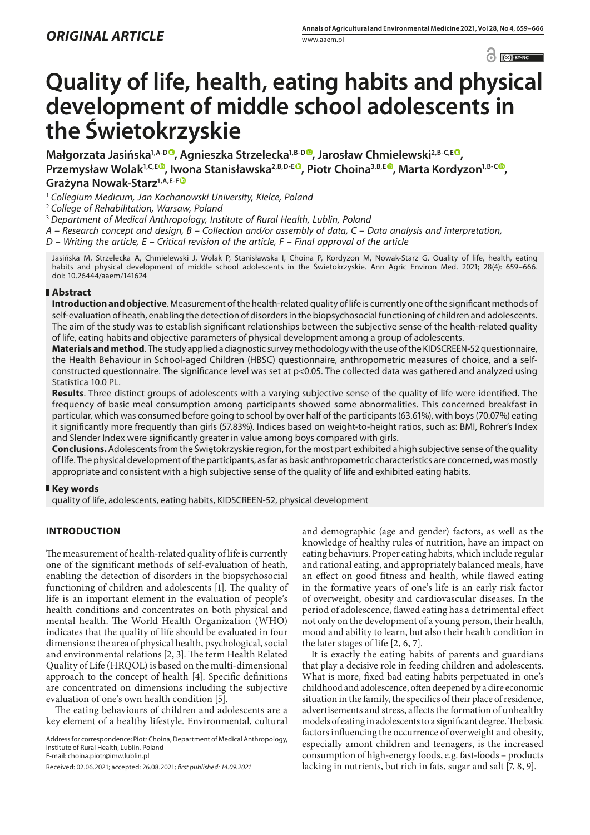$\bigcirc$   $\bigcirc$   $BY-NC$ 

# **Quality of life, health, eating habits and physical development of middle school adolescents in the Świetokrzyskie**

**Małgorzata Jasińska<sup>1[,](https://orcid.org/0000-0003-2606-1656)A-D</sup><sup>®</sup>, Agnieszka Strzelecka<sup>1,B-D</sup>®, Jarosław Chmielewski<sup>2,B-C,E®</sup>, Przemysław Wolak<sup>1,C,[E](https://orcid.org/0000-0002-1960-9217)®</sup>, Iwona Stanisławska<sup>2,B,D-E®</sup>, Piotr Choina<sup>3,B,E®</sup>, Marta Kordyzon<sup>1,B-C®</sup>, Grażyna Nowak-Starz1,A,E-F**

<sup>1</sup> *Collegium Medicum, Jan Kochanowski University, Kielce, Poland*

<sup>2</sup> *College of Rehabilitation, Warsaw, Poland*

<sup>3</sup> *Department of Medical Anthropology, Institute of Rural Health, Lublin, Poland*

*A – Research concept and design, B – Collection and/or assembly of data, C – Data analysis and interpretation,* 

*D – Writing the article, E – Critical revision of the article, F – Final approval of the article*

Jasińska M, Strzelecka A, Chmielewski J, Wolak P, Stanisławska I, Choina P, Kordyzon M, Nowak-Starz G. Quality of life, health, eating habits and physical development of middle school adolescents in the Świetokrzyskie. Ann Agric Environ Med. 2021; 28(4): 659–666. doi: 10.26444/aaem/141624

# **Abstract**

**Introduction and objective**. Measurement of the health-related quality of life is currently one of the significant methods of self-evaluation of heath, enabling the detection of disorders in the biopsychosocial functioning of children and adolescents. The aim of the study was to establish significant relationships between the subjective sense of the health-related quality of life, eating habits and objective parameters of physical development among a group of adolescents.

**Materials and method**. The study applied a diagnostic survey methodology with the use of the KIDSCREEN-52 questionnaire, the Health Behaviour in School-aged Children (HBSC) questionnaire, anthropometric measures of choice, and a selfconstructed questionnaire. The significance level was set at p<0.05. The collected data was gathered and analyzed using Statistica 10.0 PL.

**Results**. Three distinct groups of adolescents with a varying subjective sense of the quality of life were identified. The frequency of basic meal consumption among participants showed some abnormalities. This concerned breakfast in particular, which was consumed before going to school by over half of the participants (63.61%), with boys (70.07%) eating it significantly more frequently than girls (57.83%). Indices based on weight-to-height ratios, such as: BMI, Rohrer's Index and Slender Index were significantly greater in value among boys compared with girls.

**Conclusions.** Adolescents from the Świętokrzyskie region, for the most part exhibited a high subjective sense of the quality of life. The physical development of the participants, as far as basic anthropometric characteristics are concerned, was mostly appropriate and consistent with a high subjective sense of the quality of life and exhibited eating habits.

# **Key words**

quality of life, adolescents, eating habits, KIDSCREEN-52, physical development

# **INTRODUCTION**

The measurement of health-related quality of life is currently one of the significant methods of self-evaluation of heath, enabling the detection of disorders in the biopsychosocial functioning of children and adolescents [1]. The quality of life is an important element in the evaluation of people's health conditions and concentrates on both physical and mental health. The World Health Organization (WHO) indicates that the quality of life should be evaluated in four dimensions: the area of physical health, psychological, social and environmental relations [2, 3]. The term Health Related Quality of Life (HRQOL) is based on the multi-dimensional approach to the concept of health [4]. Specific definitions are concentrated on dimensions including the subjective evaluation of one's own health condition [5].

The eating behaviours of children and adolescents are a key element of a healthy lifestyle. Environmental, cultural

Address for correspondence: Piotr Choina, Department of Medical Anthropology, Institute of Rural Health, Lublin, Poland E-mail: choina.piotr@imw.lublin.pl

and demographic (age and gender) factors, as well as the knowledge of healthy rules of nutrition, have an impact on eating behaviurs. Proper eating habits, which include regular and rational eating, and appropriately balanced meals, have an effect on good fitness and health, while flawed eating in the formative years of one's life is an early risk factor of overweight, obesity and cardiovascular diseases. In the period of adolescence, flawed eating has a detrimental effect not only on the development of a young person, their health, mood and ability to learn, but also their health condition in the later stages of life [2, 6, 7].

It is exactly the eating habits of parents and guardians that play a decisive role in feeding children and adolescents. What is more, fixed bad eating habits perpetuated in one's childhood and adolescence, often deepened by a dire economic situation in the family, the specifics of their place of residence, advertisements and stress, affects the formation of unhealthy models of eating in adolescents to a significant degree. The basic factors influencing the occurrence of overweight and obesity, especially amont children and teenagers, is the increased consumption of high-energy foods, e.g. fast-foods – products lacking in nutrients, but rich in fats, sugar and salt [7, 8, 9].

Received: 02.06.2021; accepted: 26.08.2021; *first published: 14.09.2021*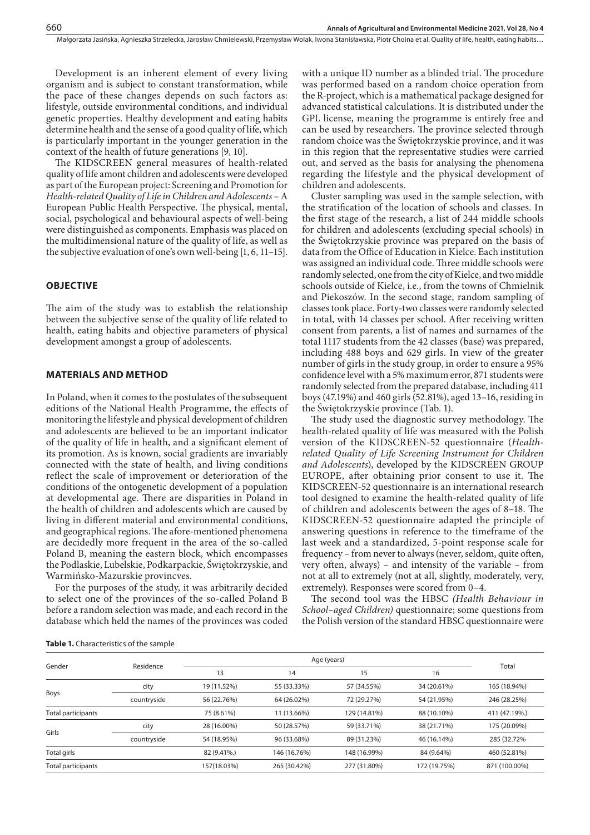Development is an inherent element of every living organism and is subject to constant transformation, while the pace of these changes depends on such factors as: lifestyle, outside environmental conditions, and individual genetic properties. Healthy development and eating habits determine health and the sense of a good quality of life, which is particularly important in the younger generation in the context of the health of future generations [9, 10].

The KIDSCREEN general measures of health-related quality of life amont children and adolescents were developed as part of the European project: Screening and Promotion for *Health-related Quality of Life in Children and Adolescents* – A European Public Health Perspective. The physical, mental, social, psychological and behavioural aspects of well-being were distinguished as components. Emphasis was placed on the multidimensional nature of the quality of life, as well as the subjective evaluation of one's own well-being [1, 6, 11–15].

### **OBJECTIVE**

The aim of the study was to establish the relationship between the subjective sense of the quality of life related to health, eating habits and objective parameters of physical development amongst a group of adolescents.

#### **MATERIALS AND METHOD**

In Poland, when it comes to the postulates of the subsequent editions of the National Health Programme, the effects of monitoring the lifestyle and physical development of children and adolescents are believed to be an important indicator of the quality of life in health, and a significant element of its promotion. As is known, social gradients are invariably connected with the state of health, and living conditions reflect the scale of improvement or deterioration of the conditions of the ontogenetic development of a population at developmental age. There are disparities in Poland in the health of children and adolescents which are caused by living in different material and environmental conditions, and geographical regions. The afore-mentioned phenomena are decidedly more frequent in the area of the so-called Poland B, meaning the eastern block, which encompasses the Podlaskie, Lubelskie, Podkarpackie, Świętokrzyskie, and Warmińsko-Mazurskie provincves.

For the purposes of the study, it was arbitrarily decided to select one of the provinces of the so-called Poland B before a random selection was made, and each record in the database which held the names of the provinces was coded with a unique ID number as a blinded trial. The procedure was performed based on a random choice operation from the R-project, which is a mathematical package designed for advanced statistical calculations. It is distributed under the GPL license, meaning the programme is entirely free and can be used by researchers. The province selected through random choice was the Świętokrzyskie province, and it was in this region that the representative studies were carried out, and served as the basis for analysing the phenomena regarding the lifestyle and the physical development of children and adolescents.

Cluster sampling was used in the sample selection, with the stratification of the location of schools and classes. In the first stage of the research, a list of 244 middle schools for children and adolescents (excluding special schools) in the Świętokrzyskie province was prepared on the basis of data from the Office of Education in Kielce. Each institution was assigned an individual code. Three middle schools were randomly selected, one from the city of Kielce, and two middle schools outside of Kielce, i.e., from the towns of Chmielnik and Piekoszów. In the second stage, random sampling of classes took place. Forty-two classes were randomly selected in total, with 14 classes per school. After receiving written consent from parents, a list of names and surnames of the total 1117 students from the 42 classes (base) was prepared, including 488 boys and 629 girls. In view of the greater number of girls in the study group, in order to ensure a 95% confidence level with a 5% maximum error, 871 students were randomly selected from the prepared database, including 411 boys (47.19%) and 460 girls (52.81%), aged 13–16, residing in the Świętokrzyskie province (Tab. 1).

The study used the diagnostic survey methodology. The health-related quality of life was measured with the Polish version of the KIDSCREEN-52 questionnaire (*Healthrelated Quality of Life Screening Instrument for Children and Adolescents*), developed by the KIDSCREEN GROUP EUROPE, after obtaining prior consent to use it. The KIDSCREEN-52 questionnaire is an international research tool designed to examine the health-related quality of life of children and adolescents between the ages of 8–18. The KIDSCREEN-52 questionnaire adapted the principle of answering questions in reference to the timeframe of the last week and a standardized, 5-point response scale for frequency – from never to always (never, seldom, quite often, very often, always) – and intensity of the variable – from not at all to extremely (not at all, slightly, moderately, very, extremely). Responses were scored from 0–4.

The second tool was the HBSC *(Health Behaviour in School–aged Children)* questionnaire; some questions from the Polish version of the standard HBSC questionnaire were

| <b>Table 1.</b> Characteristics of the sample |  |
|-----------------------------------------------|--|
|-----------------------------------------------|--|

| Gender             | Residence   |             |              |              |              |               |
|--------------------|-------------|-------------|--------------|--------------|--------------|---------------|
|                    |             | 13          | 14           | 15           | 16           | Total         |
| Boys               | city        | 19 (11.52%) | 55 (33.33%)  | 57 (34.55%)  | 34 (20.61%)  | 165 (18.94%)  |
|                    | countryside | 56 (22.76%) | 64 (26.02%)  | 72 (29.27%)  | 54 (21.95%)  | 246 (28.25%)  |
| Total participants |             | 75 (8.61%)  | 11 (13.66%)  | 129 (14.81%) | 88 (10.10%)  | 411 (47.19%.) |
| Girls              | city        | 28 (16.00%) | 50 (28.57%)  | 59 (33.71%)  | 38 (21.71%)  | 175 (20.09%)  |
|                    | countryside | 54 (18.95%) | 96 (33.68%)  | 89 (31.23%)  | 46 (16.14%)  | 285 (32.72%)  |
| Total girls        |             | 82 (9.41%.) | 146 (16.76%) | 148 (16.99%) | 84 (9.64%)   | 460 (52.81%)  |
| Total participants |             | 157(18.03%) | 265 (30.42%) | 277 (31.80%) | 172 (19.75%) | 871 (100.00%) |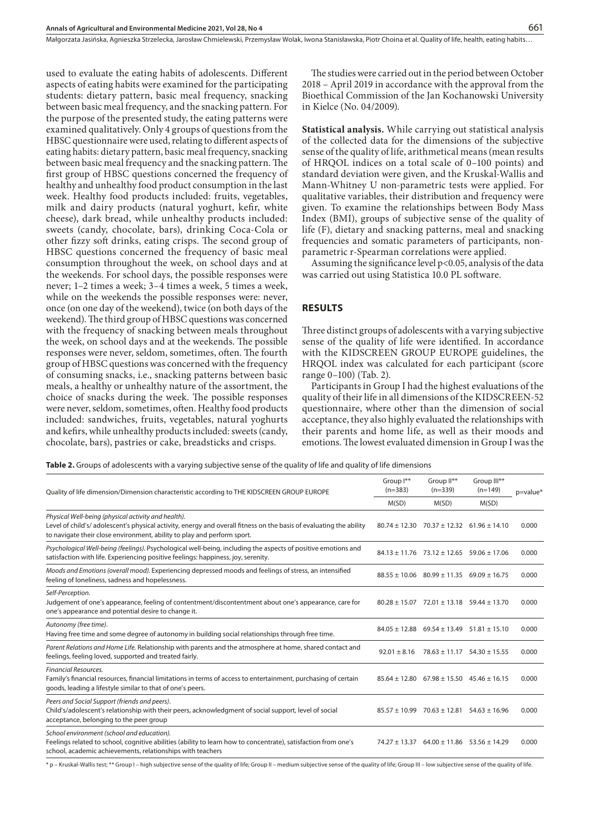used to evaluate the eating habits of adolescents. Different aspects of eating habits were examined for the participating students: dietary pattern, basic meal frequency, snacking between basic meal frequency, and the snacking pattern. For the purpose of the presented study, the eating patterns were examined qualitatively. Only 4 groups of questions from the HBSC questionnaire were used, relating to different aspects of eating habits: dietary pattern, basic meal frequency, snacking between basic meal frequency and the snacking pattern. The first group of HBSC questions concerned the frequency of healthy and unhealthy food product consumption in the last week. Healthy food products included: fruits, vegetables, milk and dairy products (natural yoghurt, kefir, white cheese), dark bread, while unhealthy products included: sweets (candy, chocolate, bars), drinking Coca-Cola or other fizzy soft drinks, eating crisps. The second group of HBSC questions concerned the frequency of basic meal consumption throughout the week, on school days and at the weekends. For school days, the possible responses were never; 1–2 times a week; 3–4 times a week, 5 times a week, while on the weekends the possible responses were: never, once (on one day of the weekend), twice (on both days of the weekend). The third group of HBSC questions was concerned with the frequency of snacking between meals throughout the week, on school days and at the weekends. The possible responses were never, seldom, sometimes, often. The fourth group of HBSC questions was concerned with the frequency of consuming snacks, i.e., snacking patterns between basic meals, a healthy or unhealthy nature of the assortment, the choice of snacks during the week. The possible responses were never, seldom, sometimes, often. Healthy food products included: sandwiches, fruits, vegetables, natural yoghurts and kefirs, while unhealthy products included: sweets (candy, chocolate, bars), pastries or cake, breadsticks and crisps.

The studies were carried out in the period between October 2018 – April 2019 in accordance with the approval from the Bioethical Commission of the Jan Kochanowski University in Kielce (No. 04/2009).

**Statistical analysis.** While carrying out statistical analysis of the collected data for the dimensions of the subjective sense of the quality of life, arithmetical means (mean results of HRQOL indices on a total scale of 0–100 points) and standard deviation were given, and the Kruskal-Wallis and Mann-Whitney U non-parametric tests were applied. For qualitative variables, their distribution and frequency were given. To examine the relationships between Body Mass Index (BMI), groups of subjective sense of the quality of life (F), dietary and snacking patterns, meal and snacking frequencies and somatic parameters of participants, nonparametric r-Spearman correlations were applied.

Assuming the significance level p<0.05, analysis of the data was carried out using Statistica 10.0 PL software.

### **RESULTS**

Three distinct groups of adolescents with a varying subjective sense of the quality of life were identified. In accordance with the KIDSCREEN GROUP EUROPE guidelines, the HRQOL index was calculated for each participant (score range 0–100) (Tab. 2).

Participants in Group I had the highest evaluations of the quality of their life in all dimensions of the KIDSCREEN-52 questionnaire, where other than the dimension of social acceptance, they also highly evaluated the relationships with their parents and home life, as well as their moods and emotions. The lowest evaluated dimension in Group I was the

**Table 2.** Groups of adolescents with a varying subjective sense of the quality of life and quality of life dimensions

| Group I**<br>$(n=383)$ | Group II**<br>$(n=339)$ | Group III**<br>$(n=149)$                                 | $p = value*$                                                                                                                                                                                                                                                                                    |
|------------------------|-------------------------|----------------------------------------------------------|-------------------------------------------------------------------------------------------------------------------------------------------------------------------------------------------------------------------------------------------------------------------------------------------------|
| M(SD)                  | M(SD)                   | M(SD)                                                    |                                                                                                                                                                                                                                                                                                 |
|                        |                         |                                                          | 0.000                                                                                                                                                                                                                                                                                           |
|                        |                         |                                                          | 0.000                                                                                                                                                                                                                                                                                           |
| $88.55 + 10.06$        |                         | $69.09 + 16.75$                                          | 0.000                                                                                                                                                                                                                                                                                           |
|                        |                         |                                                          | 0.000                                                                                                                                                                                                                                                                                           |
|                        |                         |                                                          | 0.000                                                                                                                                                                                                                                                                                           |
| $92.01 + 8.16$         | $78.63 \pm 11.17$       | $54.30 + 15.55$                                          | 0.000                                                                                                                                                                                                                                                                                           |
| $85.64 + 12.80$        |                         |                                                          | 0.000                                                                                                                                                                                                                                                                                           |
| $85.57 \pm 10.99$      |                         | $54.63 + 16.96$                                          | 0.000                                                                                                                                                                                                                                                                                           |
| $74.27 + 13.37$        |                         |                                                          | 0.000                                                                                                                                                                                                                                                                                           |
|                        |                         | $80.99 \pm 11.35$<br>$84.05 \pm 12.88$ 69.54 $\pm$ 13.49 | $80.74 \pm 12.30$ $70.37 \pm 12.32$ $61.96 \pm 14.10$<br>$84.13 \pm 11.76$ $73.12 \pm 12.65$ $59.06 \pm 17.06$<br>$80.28 \pm 15.07$ $72.01 \pm 13.18$ $59.44 \pm 13.70$<br>$51.81 \pm 15.10$<br>$67.98 \pm 15.50$ $45.46 \pm 16.15$<br>$70.63 \pm 12.81$<br>$64.00 \pm 11.86$ 53.56 $\pm$ 14.29 |

\* p – Kruskal-Wallis test; \*\* Group I – high subjective sense of the quality of life; Group II – medium subjective sense of the quality of life; Group III – low subjective sense of the quality of life.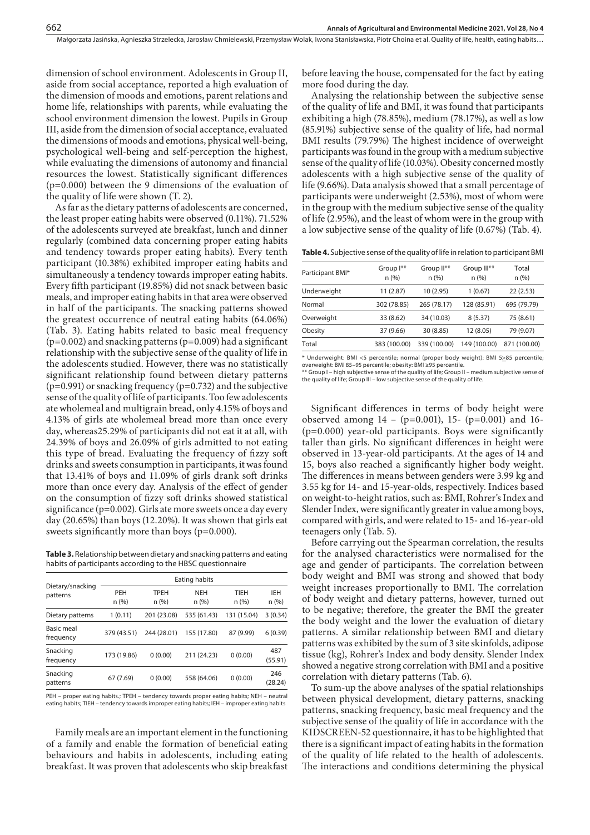dimension of school environment. Adolescents in Group II, aside from social acceptance, reported a high evaluation of the dimension of moods and emotions, parent relations and home life, relationships with parents, while evaluating the school environment dimension the lowest. Pupils in Group III, aside from the dimension of social acceptance, evaluated the dimensions of moods and emotions, physical well-being, psychological well-being and self-perception the highest, while evaluating the dimensions of autonomy and financial resources the lowest. Statistically significant differences (p=0.000) between the 9 dimensions of the evaluation of the quality of life were shown (T. 2).

As far as the dietary patterns of adolescents are concerned, the least proper eating habits were observed (0.11%). 71.52% of the adolescents surveyed ate breakfast, lunch and dinner regularly (combined data concerning proper eating habits and tendency towards proper eating habits). Every tenth participant (10.38%) exhibited improper eating habits and simultaneously a tendency towards improper eating habits. Every fifth participant (19.85%) did not snack between basic meals, and improper eating habits in that area were observed in half of the participants. The snacking patterns showed the greatest occurrence of neutral eating habits (64.06%) (Tab. 3). Eating habits related to basic meal frequency  $(p=0.002)$  and snacking patterns  $(p=0.009)$  had a significant relationship with the subjective sense of the quality of life in the adolescents studied. However, there was no statistically significant relationship found between dietary patterns  $(p=0.991)$  or snacking frequency  $(p=0.732)$  and the subjective sense of the quality of life of participants. Too few adolescents ate wholemeal and multigrain bread, only 4.15% of boys and 4.13% of girls ate wholemeal bread more than once every day, whereas25.29% of participants did not eat it at all, with 24.39% of boys and 26.09% of girls admitted to not eating this type of bread. Evaluating the frequency of fizzy soft drinks and sweets consumption in participants, it was found that 13.41% of boys and 11.09% of girls drank soft drinks more than once every day. Analysis of the effect of gender on the consumption of fizzy soft drinks showed statistical significance (p=0.002). Girls ate more sweets once a day every day (20.65%) than boys (12.20%). It was shown that girls eat sweets significantly more than boys (p=0.000).

**Table 3.** Relationship between dietary and snacking patterns and eating habits of participants according to the HBSC questionnaire

|                              | Eating habits |                     |                    |               |                |  |  |
|------------------------------|---------------|---------------------|--------------------|---------------|----------------|--|--|
| Dietary/snacking<br>patterns | PEH<br>n (%)  | <b>TPEH</b><br>n(%) | <b>NEH</b><br>n(%) | TIEH<br>n (%) | IEH<br>n (%)   |  |  |
| Dietary patterns             | 1(0.11)       | 201 (23.08)         | 535 (61.43)        | 131 (15.04)   | 3(0.34)        |  |  |
| Basic meal<br>frequency      | 379 (43.51)   | 244 (28.01)         | 155 (17.80)        | 87 (9.99)     | 6(0.39)        |  |  |
| Snacking<br>frequency        | 173 (19.86)   | 0(0.00)             | 211 (24.23)        | 0(0.00)       | 487<br>(55.91) |  |  |
| Snacking<br>patterns         | 67 (7.69)     | 0(0.00)             | 558 (64.06)        | 0(0.00)       | 246<br>(28.24) |  |  |
|                              |               |                     |                    |               |                |  |  |

PEH – proper eating habits.; TPEH – tendency towards proper eating habits; NEH – neutral eating habits; TIEH – tendency towards improper eating habits; IEH – improper eating habits

Family meals are an important element in the functioning of a family and enable the formation of beneficial eating behaviours and habits in adolescents, including eating breakfast. It was proven that adolescents who skip breakfast

before leaving the house, compensated for the fact by eating more food during the day.

Analysing the relationship between the subjective sense of the quality of life and BMI, it was found that participants exhibiting a high (78.85%), medium (78.17%), as well as low (85.91%) subjective sense of the quality of life, had normal BMI results (79.79%) The highest incidence of overweight participants was found in the group with a medium subjective sense of the quality of life (10.03%). Obesity concerned mostly adolescents with a high subjective sense of the quality of life (9.66%). Data analysis showed that a small percentage of participants were underweight (2.53%), most of whom were in the group with the medium subjective sense of the quality of life (2.95%), and the least of whom were in the group with a low subjective sense of the quality of life (0.67%) (Tab. 4).

**Table 4.** Subjective sense of the quality of life in relation to participant BMI

| Participant BMI* | Group I**<br>n (%) | Group II**<br>n(%) | Group III**<br>n(%) | Total<br>n(%) |
|------------------|--------------------|--------------------|---------------------|---------------|
| Underweight      | 11 (2.87)          | 10 (2.95)          | 1(0.67)             | 22(2.53)      |
| Normal           | 302 (78.85)        | 265 (78.17)        | 128 (85.91)         | 695 (79.79)   |
| Overweight       | 33 (8.62)          | 34 (10.03)         | 8(5.37)             | 75 (8.61)     |
| Obesity          | 37 (9.66)          | 30 (8.85)          | 12 (8.05)           | 79 (9.07)     |
| Total            | 383 (100.00)       | 339 (100.00)       | 149 (100.00)        | 871 (100.00)  |

\* Underweight: BMI <5 percentile; normal (proper body weight): BMI 5≥85 percentile;<br>overweight: BMI 85–95 percentile; obesity: BMI ≥95 percentile.

\*\* Group I – high subjective sense of the quality of life; Group II – medium subjective sense of the quality of life; Group III – low subjective sense of the quality of life.

Significant differences in terms of body height were observed among  $14 - (p=0.001)$ , 15- ( $p=0.001$ ) and 16-(p=0.000) year-old participants. Boys were significantly taller than girls. No significant differences in height were observed in 13-year-old participants. At the ages of 14 and 15, boys also reached a significantly higher body weight. The differences in means between genders were 3.99 kg and 3.55 kg for 14- and 15-year-olds, respectively. Indices based on weight-to-height ratios, such as: BMI, Rohrer's Index and Slender Index, were significantly greater in value among boys, compared with girls, and were related to 15- and 16-year-old teenagers only (Tab. 5).

Before carrying out the Spearman correlation, the results for the analysed characteristics were normalised for the age and gender of participants. The correlation between body weight and BMI was strong and showed that body weight increases proportionally to BMI. The correlation of body weight and dietary patterns, however, turned out to be negative; therefore, the greater the BMI the greater the body weight and the lower the evaluation of dietary patterns. A similar relationship between BMI and dietary patterns was exhibited by the sum of 3 site skinfolds, adipose tissue (kg), Rohrer's Index and body density. Slender Index showed a negative strong correlation with BMI and a positive correlation with dietary patterns (Tab. 6).

To sum-up the above analyses of the spatial relationships between physical development, dietary patterns, snacking patterns, snacking frequency, basic meal frequency and the subjective sense of the quality of life in accordance with the KIDSCREEN-52 questionnaire, it has to be highlighted that there is a significant impact of eating habits in the formation of the quality of life related to the health of adolescents. The interactions and conditions determining the physical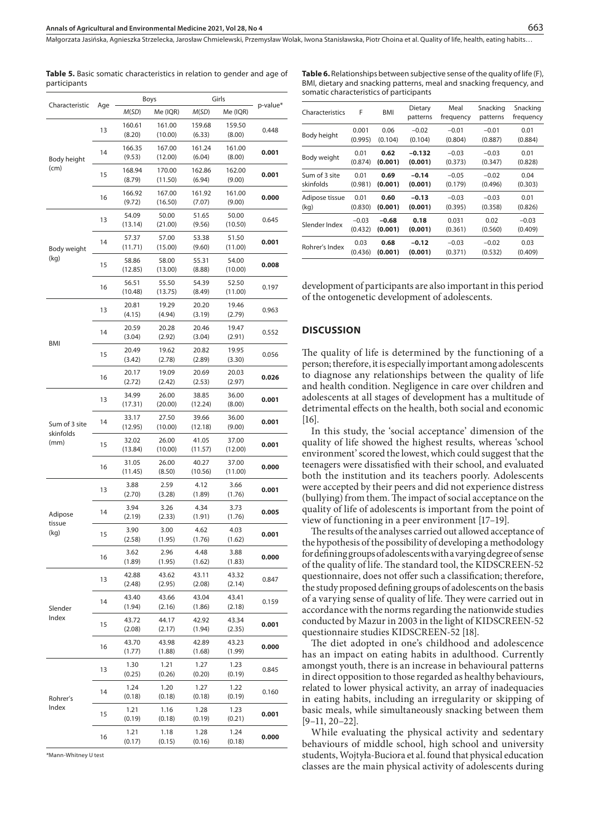participants

**Table 5.** Basic somatic characteristics in relation to gender and age of

Małgorzata Jasińska, Agnieszka Strzelecka, Jarosław Chmielewski, Przemysław Wolak, Iwona Stanisławska, Piotr Choina et al. Quality of life, health, eating habits…

| Characteristic    |     | Boys             |                   | Girls            | p-value*         |       |
|-------------------|-----|------------------|-------------------|------------------|------------------|-------|
|                   | Age | M(SD)            | Me (IQR)          | M(SD)            | Me (IQR)         |       |
| Body height       | 13  | 160.61<br>(8.20) | 161.00<br>(10.00) | 159.68<br>(6.33) | 159.50<br>(8.00) | 0.448 |
|                   | 14  | 166.35<br>(9.53) | 167.00<br>(12.00) | 161.24<br>(6.04) | 161.00<br>(8.00) | 0.001 |
| (cm)              | 15  | 168.94<br>(8.79) | 170.00<br>(11.50) | 162.86<br>(6.94) | 162.00<br>(9.00) | 0.001 |
|                   | 16  | 166.92<br>(9.72) | 167.00<br>(16.50) | 161.92<br>(7.07) | 161.00<br>(9.00) | 0.000 |
|                   | 13  | 54.09<br>(13.14) | 50.00<br>(21.00)  | 51.65<br>(9.56)  | 50.00<br>(10.50) | 0.645 |
| Body weight       | 14  | 57.37<br>(11.71) | 57.00<br>(15.00)  | 53.38<br>(9.60)  | 51.50<br>(11.00) | 0.001 |
| (kg)              | 15  | 58.86<br>(12.85) | 58.00<br>(13.00)  | 55.31<br>(8.88)  | 54.00<br>(10.00) | 0.008 |
|                   | 16  | 56.51<br>(10.48) | 55.50<br>(13.75)  | 54.39<br>(8.49)  | 52.50<br>(11.00) | 0.197 |
|                   | 13  | 20.81<br>(4.15)  | 19.29<br>(4.94)   | 20.20<br>(3.19)  | 19.46<br>(2.79)  | 0.963 |
|                   | 14  | 20.59<br>(3.04)  | 20.28<br>(2.92)   | 20.46<br>(3.04)  | 19.47<br>(2.91)  | 0.552 |
| BMI               | 15  | 20.49<br>(3.42)  | 19.62<br>(2.78)   | 20.82<br>(2.89)  | 19.95<br>(3.30)  | 0.056 |
|                   | 16  | 20.17<br>(2.72)  | 19.09<br>(2.42)   | 20.69<br>(2.53)  | 20.03<br>(2.97)  | 0.026 |
|                   | 13  | 34.99<br>(17.31) | 26.00<br>(20.00)  | 38.85<br>(12.24) | 36.00<br>(8.00)  | 0.001 |
| Sum of 3 site     | 14  | 33.17<br>(12.95) | 27.50<br>(10.00)  | 39.66<br>(12.18) | 36.00<br>(9.00)  | 0.001 |
| skinfolds<br>(mm) | 15  | 32.02<br>(13.84) | 26.00<br>(10.00)  | 41.05<br>(11.57) | 37.00<br>(12.00) | 0.001 |
|                   | 16  | 31.05<br>(11.45) | 26.00<br>(8.50)   | 40.27<br>(10.56) | 37.00<br>(11.00) | 0.000 |
|                   | 13  | 3.88<br>(2.70)   | 2.59<br>(3.28)    | 4.12<br>(1.89)   | 3.66<br>(1.76)   | 0.001 |
| Adipose           | 14  | 3.94<br>(2.19)   | 3.26<br>(2.33)    | 4.34<br>(1.91)   | 3.73<br>(1.76)   | 0.005 |
| tissue<br>(kg)    | 15  | 3.90<br>(2.58)   | 3.00<br>(1.95)    | 4.62<br>(1.76)   | 4.03<br>(1.62)   | 0.001 |
|                   | 16  | 3.62<br>(1.89)   | 2.96<br>(1.95)    | 4.48<br>(1.62)   | 3.88<br>(1.83)   | 0.000 |
|                   | 13  | 42.88<br>(2.48)  | 43.62<br>(2.95)   | 43.11<br>(2.08)  | 43.32<br>(2.14)  | 0.847 |
| Slender           | 14  | 43.40<br>(1.94)  | 43.66<br>(2.16)   | 43.04<br>(1.86)  | 43.41<br>(2.18)  | 0.159 |
| Index             | 15  | 43.72<br>(2.08)  | 44.17<br>(2.17)   | 42.92<br>(1.94)  | 43.34<br>(2.35)  | 0.001 |
|                   | 16  | 43.70<br>(1.77)  | 43.98<br>(1.88)   | 42.89<br>(1.68)  | 43.23<br>(1.99)  | 0.000 |
|                   | 13  | 1.30<br>(0.25)   | 1.21<br>(0.26)    | 1.27<br>(0.20)   | 1.23<br>(0.19)   | 0.845 |
| Rohrer's          | 14  | 1.24<br>(0.18)   | 1.20<br>(0.18)    | 1.27<br>(0.18)   | 1.22<br>(0.19)   | 0.160 |
| Index             | 15  | 1.21<br>(0.19)   | 1.16<br>(0.18)    | 1.28<br>(0.19)   | 1.23<br>(0.21)   | 0.001 |
|                   | 16  | 1.21<br>(0.17)   | 1.18<br>(0.15)    | 1.28<br>(0.16)   | 1.24<br>(0.18)   | 0.000 |

*\**Mann-Whitney U test

**Table 6.** Relationships between subjective sense of the quality of life (F), BMI, dietary and snacking patterns, meal and snacking frequency, and somatic characteristics of participants

| Characteristics | F       | <b>BMI</b> | Dietary<br>patterns | Meal<br>frequency | Snacking<br>patterns | Snacking<br>frequency |
|-----------------|---------|------------|---------------------|-------------------|----------------------|-----------------------|
| Body height     | 0.001   | 0.06       | $-0.02$             | $-0.01$           | $-0.01$              | 0.01                  |
|                 | (0.995) | (0.104)    | (0.104)             | (0.804)           | (0.887)              | (0.884)               |
| Body weight     | 0.01    | 0.62       | $-0.132$            | $-0.03$           | $-0.03$              | 0.01                  |
|                 | (0.874) | (0.001)    | (0.001)             | (0.373)           | (0.347)              | (0.828)               |
| Sum of 3 site   | 0.01    | 0.69       | $-0.14$             | $-0.05$           | $-0.02$              | 0.04                  |
| skinfolds       | (0.981) | (0.001)    | (0.001)             | (0.179)           | (0.496)              | (0.303)               |
| Adipose tissue  | 0.01    | 0.60       | $-0.13$             | $-0.03$           | $-0.03$              | 0.01                  |
| (kg)            | (0.830) | (0.001)    | (0.001)             | (0.395)           | (0.358)              | (0.826)               |
| Slender Index   | $-0.03$ | $-0.68$    | 0.18                | 0.031             | 0.02                 | $-0.03$               |
|                 | (0.432) | (0.001)    | (0.001)             | (0.361)           | (0.560)              | (0.409)               |
| Rohrer's Index  | 0.03    | 0.68       | $-0.12$             | $-0.03$           | $-0.02$              | 0.03                  |
|                 | (0.436) | (0.001)    | (0.001)             | (0.371)           | (0.532)              | (0.409)               |
|                 |         |            |                     |                   |                      |                       |

development of participants are also important in this period of the ontogenetic development of adolescents.

#### **DISCUSSION**

The quality of life is determined by the functioning of a person; therefore, it is especially important among adolescents to diagnose any relationships between the quality of life and health condition. Negligence in care over children and adolescents at all stages of development has a multitude of detrimental effects on the health, both social and economic [16].

In this study, the 'social acceptance' dimension of the quality of life showed the highest results, whereas 'school environment' scored the lowest, which could suggest that the teenagers were dissatisfied with their school, and evaluated both the institution and its teachers poorly. Adolescents were accepted by their peers and did not experience distress (bullying) from them. The impact of social acceptance on the quality of life of adolescents is important from the point of view of functioning in a peer environment [17–19].

The results of the analyses carried out allowed acceptance of the hypothesis of the possibility of developing a methodology for defining groups of adolescents with a varying degree of sense of the quality of life. The standard tool, the KIDSCREEN-52 questionnaire, does not offer such a classification; therefore, the study proposed defining groups of adolescents on the basis of a varying sense of quality of life. They were carried out in accordance with the norms regarding the nationwide studies conducted by Mazur in 2003 in the light of KIDSCREEN-52 questionnaire studies KIDSCREEN-52 [18].

The diet adopted in one's childhood and adolescence has an impact on eating habits in adulthood. Currently amongst youth, there is an increase in behavioural patterns in direct opposition to those regarded as healthy behaviours, related to lower physical activity, an array of inadequacies in eating habits, including an irregularity or skipping of basic meals, while simultaneously snacking between them [9–11, 20–22].

While evaluating the physical activity and sedentary behaviours of middle school, high school and university students, Wojtyła-Buciora et al. found that physical education classes are the main physical activity of adolescents during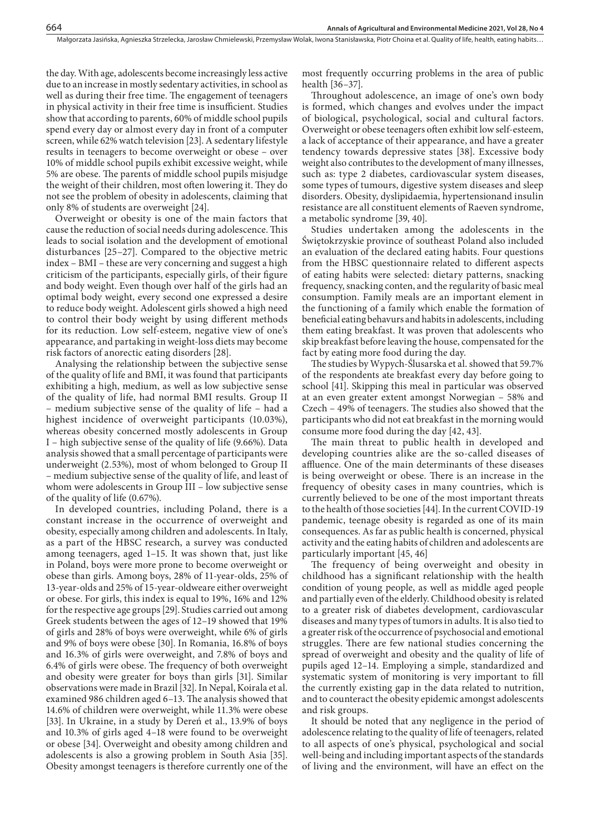the day. With age, adolescents become increasingly less active due to an increase in mostly sedentary activities, in school as well as during their free time. The engagement of teenagers in physical activity in their free time is insufficient. Studies show that according to parents, 60% of middle school pupils spend every day or almost every day in front of a computer screen, while 62% watch television [23]. A sedentary lifestyle results in teenagers to become overweight or obese – over 10% of middle school pupils exhibit excessive weight, while 5% are obese. The parents of middle school pupils misjudge the weight of their children, most often lowering it. They do not see the problem of obesity in adolescents, claiming that only 8% of students are overweight [24].

Overweight or obesity is one of the main factors that cause the reduction of social needs during adolescence. This leads to social isolation and the development of emotional disturbances [25–27]. Compared to the objective metric index – BMI – these are very concerning and suggest a high criticism of the participants, especially girls, of their figure and body weight. Even though over half of the girls had an optimal body weight, every second one expressed a desire to reduce body weight. Adolescent girls showed a high need to control their body weight by using different methods for its reduction. Low self-esteem, negative view of one's appearance, and partaking in weight-loss diets may become risk factors of anorectic eating disorders [28].

Analysing the relationship between the subjective sense of the quality of life and BMI, it was found that participants exhibiting a high, medium, as well as low subjective sense of the quality of life, had normal BMI results. Group II – medium subjective sense of the quality of life – had a highest incidence of overweight participants (10.03%), whereas obesity concerned mostly adolescents in Group I – high subjective sense of the quality of life (9.66%). Data analysis showed that a small percentage of participants were underweight (2.53%), most of whom belonged to Group II – medium subjective sense of the quality of life, and least of whom were adolescents in Group III – low subjective sense of the quality of life (0.67%).

In developed countries, including Poland, there is a constant increase in the occurrence of overweight and obesity, especially among children and adolescents. In Italy, as a part of the HBSC research, a survey was conducted among teenagers, aged 1–15. It was shown that, just like in Poland, boys were more prone to become overweight or obese than girls. Among boys, 28% of 11-year-olds, 25% of 13-year-olds and 25% of 15-year-oldweare either overweight or obese. For girls, this index is equal to 19%, 16% and 12% for the respective age groups [29]. Studies carried out among Greek students between the ages of 12–19 showed that 19% of girls and 28% of boys were overweight, while 6% of girls and 9% of boys were obese [30]. In Romania, 16.8% of boys and 16.3% of girls were overweight, and 7.8% of boys and 6.4% of girls were obese. The frequency of both overweight and obesity were greater for boys than girls [31]. Similar observations were made in Brazil [32]. In Nepal, Koirala et al. examined 986 children aged 6–13. The analysis showed that 14.6% of children were overweight, while 11.3% were obese [33]. In Ukraine, in a study by Dereń et al., 13.9% of boys and 10.3% of girls aged 4–18 were found to be overweight or obese [34]. Overweight and obesity among children and adolescents is also a growing problem in South Asia [35]. Obesity amongst teenagers is therefore currently one of the

most frequently occurring problems in the area of public health [36–37].

Throughout adolescence, an image of one's own body is formed, which changes and evolves under the impact of biological, psychological, social and cultural factors. Overweight or obese teenagers often exhibit low self-esteem, a lack of acceptance of their appearance, and have a greater tendency towards depressive states [38]. Excessive body weight also contributes to the development of many illnesses, such as: type 2 diabetes, cardiovascular system diseases, some types of tumours, digestive system diseases and sleep disorders. Obesity, dyslipidaemia, hypertensionand insulin resistance are all constituent elements of Raeven syndrome, a metabolic syndrome [39, 40].

Studies undertaken among the adolescents in the Świętokrzyskie province of southeast Poland also included an evaluation of the declared eating habits. Four questions from the HBSC questionnaire related to different aspects of eating habits were selected: dietary patterns, snacking frequency, snacking conten, and the regularity of basic meal consumption. Family meals are an important element in the functioning of a family which enable the formation of beneficial eating behavurs and habits in adolescents, including them eating breakfast. It was proven that adolescents who skip breakfast before leaving the house, compensated for the fact by eating more food during the day.

The studies by Wypych-Ślusarska et al. showed that 59.7% of the respondents ate breakfast every day before going to school [41]. Skipping this meal in particular was observed at an even greater extent amongst Norwegian – 58% and Czech – 49% of teenagers. The studies also showed that the participants who did not eat breakfast in the morning would consume more food during the day [42, 43].

The main threat to public health in developed and developing countries alike are the so-called diseases of affluence. One of the main determinants of these diseases is being overweight or obese. There is an increase in the frequency of obesity cases in many countries, which is currently believed to be one of the most important threats to the health of those societies [44]. In the current COVID-19 pandemic, teenage obesity is regarded as one of its main consequences. As far as public health is concerned, physical activity and the eating habits of children and adolescents are particularly important [45, 46]

The frequency of being overweight and obesity in childhood has a significant relationship with the health condition of young people, as well as middle aged people and partially even of the elderly. Childhood obesity is related to a greater risk of diabetes development, cardiovascular diseases and many types of tumors in adults. It is also tied to a greater risk of the occurrence of psychosocial and emotional struggles. There are few national studies concerning the spread of overweight and obesity and the quality of life of pupils aged 12–14. Employing a simple, standardized and systematic system of monitoring is very important to fill the currently existing gap in the data related to nutrition, and to counteract the obesity epidemic amongst adolescents and risk groups.

It should be noted that any negligence in the period of adolescence relating to the quality of life of teenagers, related to all aspects of one's physical, psychological and social well-being and including important aspects of the standards of living and the environment, will have an effect on the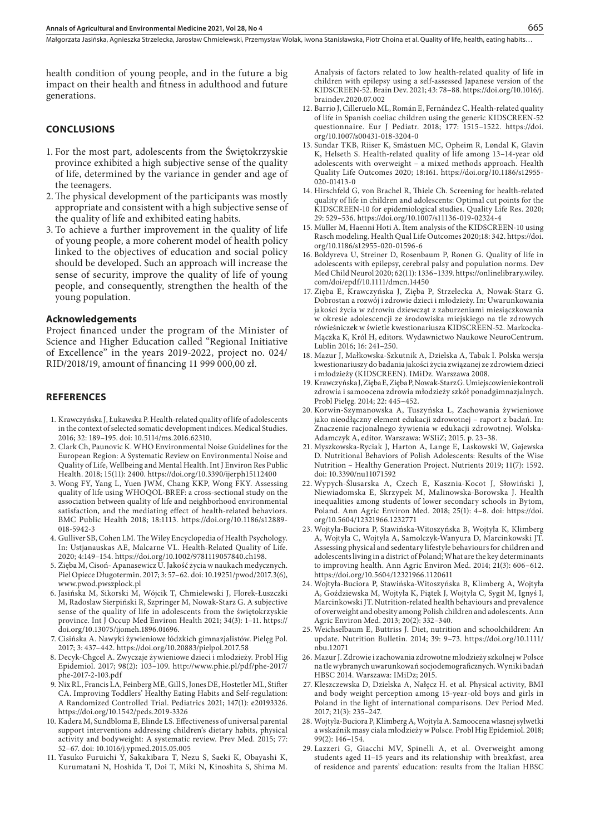health condition of young people, and in the future a big impact on their health and fitness in adulthood and future generations.

### **CONCLUSIONS**

- 1. For the most part, adolescents from the Świętokrzyskie province exhibited a high subjective sense of the quality of life, determined by the variance in gender and age of the teenagers.
- 2.The physical development of the participants was mostly appropriate and consistent with a high subjective sense of the quality of life and exhibited eating habits.
- 3. To achieve a further improvement in the quality of life of young people, a more coherent model of health policy linked to the objectives of education and social policy should be developed. Such an approach will increase the sense of security, improve the quality of life of young people, and consequently, strengthen the health of the young population.

#### **Acknowledgements**

Project financed under the program of the Minister of Science and Higher Education called "Regional Initiative of Excellence" in the years 2019-2022, project no. 024/ RID/2018/19, amount of financing 11 999 000,00 zł.

#### **REFERENCES**

- 1. Krawczyńska J, Łukawska P. Health-related quality of life of adolescents in the context of selected somatic development indices. Medical Studies. 2016; 32: 189–195. doi: 10.5114/ms.2016.62310.
- 2. Clark Ch, Paunovic K. WHO Environmental Noise Guidelines for the European Region: A Systematic Review on Environmental Noise and Quality of Life, Wellbeing and Mental Health. Int J Environ Res Public Health. 2018; 15(11): 2400. https://doi.org/10.3390/ijerph15112400
- 3. Wong FY, Yang L, Yuen JWM, Chang KKP, Wong FKY. Assessing quality of life using WHOQOL-BREF: a cross-sectional study on the association between quality of life and neighborhood environmental satisfaction, and the mediating effect of health-related behaviors. BMC Public Health 2018; 18:1113. https://doi.org/10.1186/s12889- 018-5942-3
- 4. Gulliver SB, Cohen LM. The Wiley Encyclopedia of Health Psychology. In: Ustjanauskas AE, Malcarne VL. Health-Related Quality of Life. 2020; 4:149–154. https://doi.org/10.1002/9781119057840.ch198.
- 5. Zięba M, Cisoń- Apanasewicz U. Jakość życia w naukach medycznych. Piel Opiece Długotermin. 2017; 3: 57–62. doi: 10.19251/pwod/2017.3(6), www.pwod.pwszplock.pl
- 6. Jasińska M, Sikorski M, Wójcik T, Chmielewski J, Florek-Łuszczki M, Radosław Sierpiński R, Szpringer M, Nowak-Starz G. A subjective sense of the quality of life in adolescents from the świętokrzyskie province. Int J Occup Med Environ Health 2021; 34(3): 1–11. https:// doi.org/10.13075/ijomeh.1896.01696.
- 7. Cisińska A. Nawyki żywieniowe łódzkich gimnazjalistów. Pielęg Pol. 2017; 3: 437–442. https://doi.org/10.20883/pielpol.2017.58
- 8. Decyk-Chgcel A. Zwyczaje żywieniowe dzieci i młodzieży. Probl Hig Epidemiol. 2017; 98(2): 103–109. http://www.phie.pl/pdf/phe-2017/ phe-2017-2-103.pdf
- 9. Nix RL, Francis LA, Feinberg ME, Gill S, Jones DE, Hostetler ML, Stifter CA. Improving Toddlers' Healthy Eating Habits and Self-regulation: A Randomized Controlled Trial. Pediatrics 2021; 147(1): e20193326. https://doi.org/10.1542/peds.2019-3326
- 10. Kadera M, Sundbloma E, Elinde LS. Effectiveness of universal parental support interventions addressing children's dietary habits, physical activity and bodyweight: A systematic review. Prev Med. 2015; 77: 52–67. doi: 10.1016/j.ypmed.2015.05.005
- 11. Yasuko Furuichi Y, Sakakibara T, Nezu S, Saeki K, Obayashi K, Kurumatani N, Hoshida T, Doi T, Miki N, Kinoshita S, Shima M.

Analysis of factors related to low health-related quality of life in children with epilepsy using a self-assessed Japanese version of the KIDSCREEN-52. Brain Dev. 2021; 43: 78–88. https://doi.org/10.1016/j. braindev.2020.07.002

- 12. Barrio J, Cilleruelo ML, Román E, Fernández C. Health-related quality of life in Spanish coeliac children using the generic KIDSCREEN-52 questionnaire. Eur J Pediatr. 2018; 177: 1515–1522. https://doi. org/10.1007/s00431-018-3204-0
- 13. Sundar TKB, Riiser K, Småstuen MC, Opheim R, Løndal K, Glavin K, Helseth S. Health-related quality of life among 13–14-year old adolescents with overweight – a mixed methods approach. Health Quality Life Outcomes 2020; 18:161. https://doi.org/10.1186/s12955- 020-01413-0
- 14. Hirschfeld G, von Brachel R, Thiele Ch. Screening for health-related quality of life in children and adolescents: Optimal cut points for the KIDSCREEN-10 for epidemiological studies. Quality Life Res. 2020; 29: 529–536. https://doi.org/10.1007/s11136-019-02324-4
- 15. Müller M, Haenni Hoti A. Item analysis of the KIDSCREEN-10 using Rasch modeling. Health Qual Life Outcomes 2020;18: 342. https://doi. org/10.1186/s12955-020-01596-6
- 16. Boldyreva U, Streiner D, Rosenbaum P, Ronen G. Quality of life in adolescents with epilepsy, cerebral palsy and population norms. Dev Med Child Neurol 2020; 62(11): 1336–1339. https://onlinelibrary.wiley. com/doi/epdf/10.1111/dmcn.14450
- 17. Zięba E, Krawczyńska J, Zięba P, Strzelecka A, Nowak-Starz G. Dobrostan a rozwój i zdrowie dzieci i młodzieży. In: Uwarunkowania jakości życia w zdrowiu dziewcząt z zaburzeniami miesiączkowania w okresie adolescencji ze środowiska miejskiego na tle zdrowych rówieśniczek w świetle kwestionariusza KIDSCREEN-52. Markocka-Mączka K, Król H, editors. Wydawnictwo Naukowe NeuroCentrum. Lublin 2016; 16: 241–250.
- 18. Mazur J, Małkowska-Szkutnik A, Dzielska A, Tabak I. Polska wersja kwestionariuszy do badania jakości życia związanej ze zdrowiem dzieci i młodzieży (KIDSCREEN). IMiDz. Warszawa 2008.
- 19. Krawczyńska J, Zięba E, Zięba P, Nowak-Starz G. Umiejscowienie kontroli zdrowia i samoocena zdrowia młodzieży szkół ponadgimnazjalnych. Probl Pielęg. 2014; 22: 445–452.
- 20. Korwin-Szymanowska A, Tuszyńska L, Zachowania żywieniowe jako nieodłączny element edukacji zdrowotnej – raport z badań. In: Znaczenie racjonalnego żywienia w edukacji zdrowotnej. Wolska-Adamczyk A, editor. Warszawa: WSIiZ; 2015. p. 23–38.
- 21. Myszkowska-Ryciak J, Harton A, Lange E, Laskowski W, Gajewska D. Nutritional Behaviors of Polish Adolescents: Results of the Wise Nutrition – Healthy Generation Project. Nutrients 2019; 11(7): 1592. doi: 10.3390/nu11071592
- 22. Wypych-Ślusarska A, Czech E, Kasznia-Kocot J, Słowiński J, Niewiadomska E, Skrzypek M, Malinowska-Borowska J. Health inequalities among students of lower secondary schools in Bytom, Poland. Ann Agric Environ Med. 2018; 25(1): 4–8. doi: https://doi. org/10.5604/12321966.1232771
- 23. Wojtyła-Buciora P, Stawińska-Witoszyńska B, Wojtyła K, Klimberg A, Wojtyła C, Wojtyła A, Samolczyk-Wanyura D, Marcinkowski JT. Assessing physical and sedentary lifestyle behaviours for children and adolescents living in a district of Poland; What are the key determinants to improving health. Ann Agric Environ Med. 2014; 21(3): 606–612. https://doi.org/10.5604/12321966.1120611
- 24. Wojtyła-Buciora P, Stawińska-Witoszyńska B, Klimberg A, Wojtyła A, Goździewska M, Wojtyła K, Piątek J, Wojtyła C, Sygit M, Ignyś I, Marcinkowski JT. Nutrition-related health behaviours and prevalence of overweight and obesity among Polish children and adolescents. Ann Agric Environ Med. 2013; 20(2): 332–340.
- 25. Weichselbaum E, Buttriss J. Diet, nutrition and schoolchildren: An update. Nutrition Bulletin. 2014; 39: 9–73. https://doi.org/10.1111/ nbu.12071
- 26. Mazur J. Zdrowie i zachowania zdrowotne młodzieży szkolnej w Polsce na tle wybranych uwarunkowań socjodemograficznych. Wyniki badań HBSC 2014. Warszawa: IMiDz; 2015.
- 27. Kleszczewska D, Dzielska A, Nałęcz H. et al. Physical activity, BMI and body weight perception among 15-year-old boys and girls in Poland in the light of international comparisons. Dev Period Med. 2017; 21(3): 235–247.
- 28. Wojtyła-Buciora P, Klimberg A, Wojtyła A. Samoocena własnej sylwetki a wskaźnik masy ciała młodzieży w Polsce. Probl Hig Epidemiol. 2018; 99(2): 146–154.
- 29. Lazzeri G, Giacchi MV, Spinelli A, et al. Overweight among students aged 11–15 years and its relationship with breakfast, area of residence and parents' education: results from the Italian HBSC